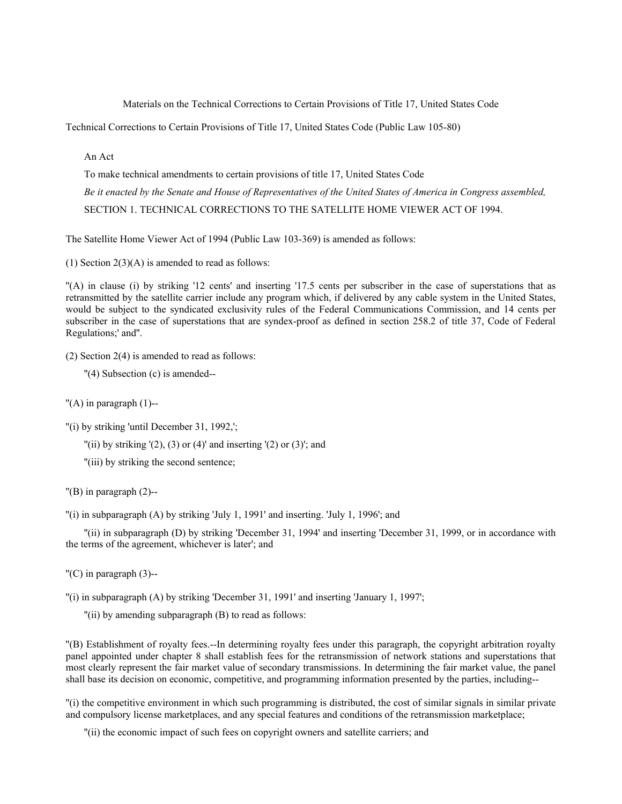Materials on the Technical Corrections to Certain Provisions of Title 17, United States Code

Technical Corrections to Certain Provisions of Title 17, United States Code (Public Law 105-80)

An Act

To make technical amendments to certain provisions of title 17, United States Code *Be it enacted by the Senate and House of Representatives of the United States of America in Congress assembled,* SECTION 1. TECHNICAL CORRECTIONS TO THE SATELLITE HOME VIEWER ACT OF 1994.

The Satellite Home Viewer Act of 1994 (Public Law 103-369) is amended as follows:

(1) Section  $2(3)(A)$  is amended to read as follows:

''(A) in clause (i) by striking '12 cents' and inserting '17.5 cents per subscriber in the case of superstations that as retransmitted by the satellite carrier include any program which, if delivered by any cable system in the United States, would be subject to the syndicated exclusivity rules of the Federal Communications Commission, and 14 cents per subscriber in the case of superstations that are syndex-proof as defined in section 258.2 of title 37, Code of Federal Regulations;' and''.

(2) Section 2(4) is amended to read as follows:

''(4) Subsection (c) is amended--

 $''(A)$  in paragraph  $(1)$ --

"(i) by striking 'until December 31, 1992,';

"(ii) by striking  $'(2)$ ,  $(3)$  or  $(4)$ ' and inserting  $'(2)$  or  $(3)$ '; and

''(iii) by striking the second sentence;

''(B) in paragraph (2)--

 $'$ (i) in subparagraph (A) by striking 'July 1, 1991' and inserting. 'July 1, 1996'; and

''(ii) in subparagraph (D) by striking 'December 31, 1994' and inserting 'December 31, 1999, or in accordance with the terms of the agreement, whichever is later'; and

 $(C)$  in paragraph  $(3)$ --

''(i) in subparagraph (A) by striking 'December 31, 1991' and inserting 'January 1, 1997';

''(ii) by amending subparagraph (B) to read as follows:

''(B) Establishment of royalty fees.--In determining royalty fees under this paragraph, the copyright arbitration royalty panel appointed under chapter 8 shall establish fees for the retransmission of network stations and superstations that most clearly represent the fair market value of secondary transmissions. In determining the fair market value, the panel shall base its decision on economic, competitive, and programming information presented by the parties, including--

''(i) the competitive environment in which such programming is distributed, the cost of similar signals in similar private and compulsory license marketplaces, and any special features and conditions of the retransmission marketplace;

''(ii) the economic impact of such fees on copyright owners and satellite carriers; and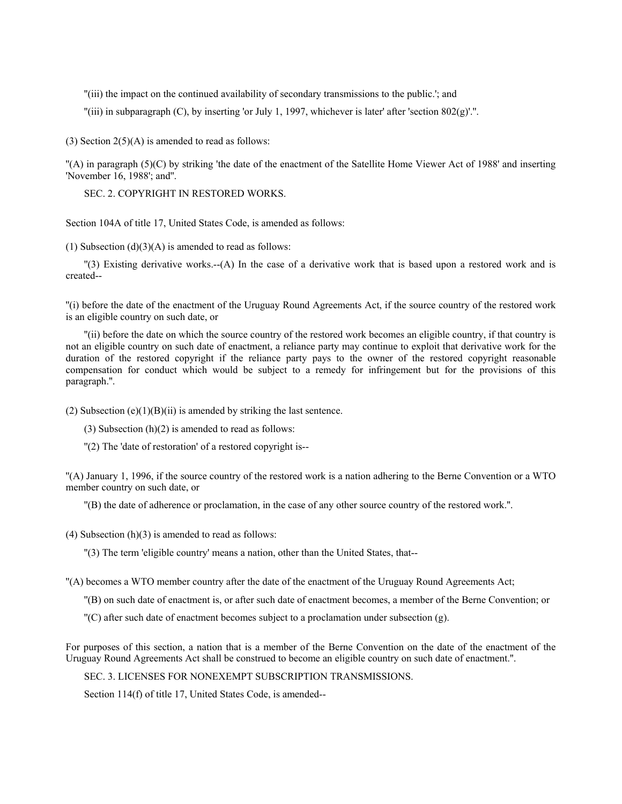''(iii) the impact on the continued availability of secondary transmissions to the public.'; and

''(iii) in subparagraph (C), by inserting 'or July 1, 1997, whichever is later' after 'section 802(g)'.''.

(3) Section  $2(5)(A)$  is amended to read as follows:

''(A) in paragraph (5)(C) by striking 'the date of the enactment of the Satellite Home Viewer Act of 1988' and inserting 'November 16, 1988'; and''.

SEC. 2. COPYRIGHT IN RESTORED WORKS.

Section 104A of title 17, United States Code, is amended as follows:

(1) Subsection  $(d)(3)(A)$  is amended to read as follows:

''(3) Existing derivative works.--(A) In the case of a derivative work that is based upon a restored work and is created--

''(i) before the date of the enactment of the Uruguay Round Agreements Act, if the source country of the restored work is an eligible country on such date, or

''(ii) before the date on which the source country of the restored work becomes an eligible country, if that country is not an eligible country on such date of enactment, a reliance party may continue to exploit that derivative work for the duration of the restored copyright if the reliance party pays to the owner of the restored copyright reasonable compensation for conduct which would be subject to a remedy for infringement but for the provisions of this paragraph.''.

(2) Subsection  $(e)(1)(B)(ii)$  is amended by striking the last sentence.

(3) Subsection  $(h)(2)$  is amended to read as follows:

''(2) The 'date of restoration' of a restored copyright is--

''(A) January 1, 1996, if the source country of the restored work is a nation adhering to the Berne Convention or a WTO member country on such date, or

''(B) the date of adherence or proclamation, in the case of any other source country of the restored work.''.

(4) Subsection  $(h)(3)$  is amended to read as follows:

''(3) The term 'eligible country' means a nation, other than the United States, that--

''(A) becomes a WTO member country after the date of the enactment of the Uruguay Round Agreements Act;

''(B) on such date of enactment is, or after such date of enactment becomes, a member of the Berne Convention; or

 $C'$  after such date of enactment becomes subject to a proclamation under subsection (g).

For purposes of this section, a nation that is a member of the Berne Convention on the date of the enactment of the Uruguay Round Agreements Act shall be construed to become an eligible country on such date of enactment.''.

SEC. 3. LICENSES FOR NONEXEMPT SUBSCRIPTION TRANSMISSIONS.

Section 114(f) of title 17, United States Code, is amended--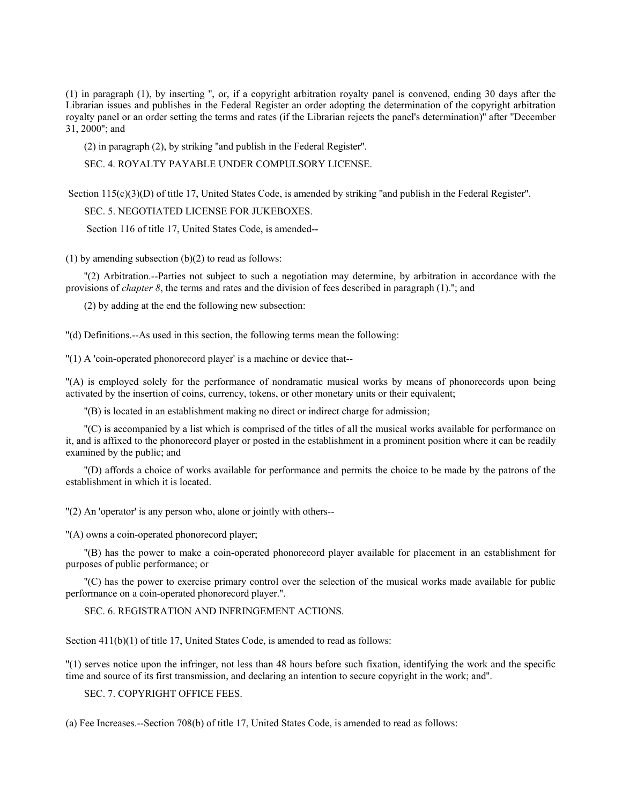(1) in paragraph (1), by inserting '', or, if a copyright arbitration royalty panel is convened, ending 30 days after the Librarian issues and publishes in the Federal Register an order adopting the determination of the copyright arbitration royalty panel or an order setting the terms and rates (if the Librarian rejects the panel's determination)'' after ''December 31, 2000''; and

(2) in paragraph (2), by striking ''and publish in the Federal Register''.

SEC. 4. ROYALTY PAYABLE UNDER COMPULSORY LICENSE.

Section 115(c)(3)(D) of title 17, United States Code, is amended by striking "and publish in the Federal Register".

SEC. 5. NEGOTIATED LICENSE FOR JUKEBOXES.

Section 116 of title 17, United States Code, is amended--

 $(1)$  by amending subsection  $(b)(2)$  to read as follows:

''(2) Arbitration.--Parties not subject to such a negotiation may determine, by arbitration in accordance with the provisions of *chapter 8*, the terms and rates and the division of fees described in paragraph (1).''; and

(2) by adding at the end the following new subsection:

''(d) Definitions.--As used in this section, the following terms mean the following:

''(1) A 'coin-operated phonorecord player' is a machine or device that--

''(A) is employed solely for the performance of nondramatic musical works by means of phonorecords upon being activated by the insertion of coins, currency, tokens, or other monetary units or their equivalent;

''(B) is located in an establishment making no direct or indirect charge for admission;

''(C) is accompanied by a list which is comprised of the titles of all the musical works available for performance on it, and is affixed to the phonorecord player or posted in the establishment in a prominent position where it can be readily examined by the public; and

''(D) affords a choice of works available for performance and permits the choice to be made by the patrons of the establishment in which it is located.

''(2) An 'operator' is any person who, alone or jointly with others--

''(A) owns a coin-operated phonorecord player;

''(B) has the power to make a coin-operated phonorecord player available for placement in an establishment for purposes of public performance; or

''(C) has the power to exercise primary control over the selection of the musical works made available for public performance on a coin-operated phonorecord player.''.

SEC. 6. REGISTRATION AND INFRINGEMENT ACTIONS.

Section  $411(b)(1)$  of title 17, United States Code, is amended to read as follows:

''(1) serves notice upon the infringer, not less than 48 hours before such fixation, identifying the work and the specific time and source of its first transmission, and declaring an intention to secure copyright in the work; and''.

SEC. 7. COPYRIGHT OFFICE FEES.

(a) Fee Increases.--Section 708(b) of title 17, United States Code, is amended to read as follows: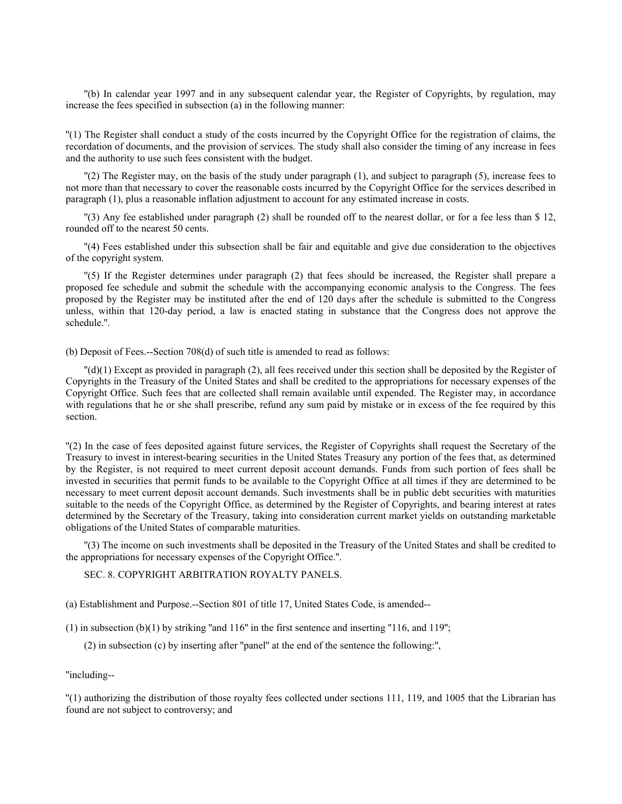''(b) In calendar year 1997 and in any subsequent calendar year, the Register of Copyrights, by regulation, may increase the fees specified in subsection (a) in the following manner:

''(1) The Register shall conduct a study of the costs incurred by the Copyright Office for the registration of claims, the recordation of documents, and the provision of services. The study shall also consider the timing of any increase in fees and the authority to use such fees consistent with the budget.

''(2) The Register may, on the basis of the study under paragraph (1), and subject to paragraph (5), increase fees to not more than that necessary to cover the reasonable costs incurred by the Copyright Office for the services described in paragraph (1), plus a reasonable inflation adjustment to account for any estimated increase in costs.

''(3) Any fee established under paragraph (2) shall be rounded off to the nearest dollar, or for a fee less than \$ 12, rounded off to the nearest 50 cents.

''(4) Fees established under this subsection shall be fair and equitable and give due consideration to the objectives of the copyright system.

''(5) If the Register determines under paragraph (2) that fees should be increased, the Register shall prepare a proposed fee schedule and submit the schedule with the accompanying economic analysis to the Congress. The fees proposed by the Register may be instituted after the end of 120 days after the schedule is submitted to the Congress unless, within that 120-day period, a law is enacted stating in substance that the Congress does not approve the schedule.''.

(b) Deposit of Fees.--Section 708(d) of such title is amended to read as follows:

''(d)(1) Except as provided in paragraph (2), all fees received under this section shall be deposited by the Register of Copyrights in the Treasury of the United States and shall be credited to the appropriations for necessary expenses of the Copyright Office. Such fees that are collected shall remain available until expended. The Register may, in accordance with regulations that he or she shall prescribe, refund any sum paid by mistake or in excess of the fee required by this section.

''(2) In the case of fees deposited against future services, the Register of Copyrights shall request the Secretary of the Treasury to invest in interest-bearing securities in the United States Treasury any portion of the fees that, as determined by the Register, is not required to meet current deposit account demands. Funds from such portion of fees shall be invested in securities that permit funds to be available to the Copyright Office at all times if they are determined to be necessary to meet current deposit account demands. Such investments shall be in public debt securities with maturities suitable to the needs of the Copyright Office, as determined by the Register of Copyrights, and bearing interest at rates determined by the Secretary of the Treasury, taking into consideration current market yields on outstanding marketable obligations of the United States of comparable maturities.

''(3) The income on such investments shall be deposited in the Treasury of the United States and shall be credited to the appropriations for necessary expenses of the Copyright Office.''.

SEC. 8. COPYRIGHT ARBITRATION ROYALTY PANELS.

(a) Establishment and Purpose.--Section 801 of title 17, United States Code, is amended--

 $(1)$  in subsection  $(b)(1)$  by striking "and 116" in the first sentence and inserting "116, and 119";

(2) in subsection (c) by inserting after ''panel'' at the end of the sentence the following:'',

''including--

''(1) authorizing the distribution of those royalty fees collected under sections 111, 119, and 1005 that the Librarian has found are not subject to controversy; and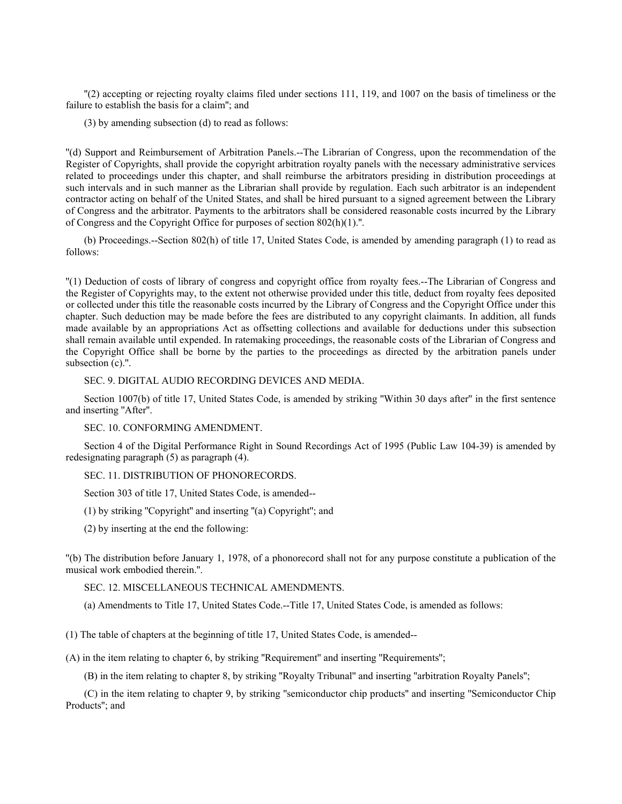''(2) accepting or rejecting royalty claims filed under sections 111, 119, and 1007 on the basis of timeliness or the failure to establish the basis for a claim''; and

(3) by amending subsection (d) to read as follows:

''(d) Support and Reimbursement of Arbitration Panels.--The Librarian of Congress, upon the recommendation of the Register of Copyrights, shall provide the copyright arbitration royalty panels with the necessary administrative services related to proceedings under this chapter, and shall reimburse the arbitrators presiding in distribution proceedings at such intervals and in such manner as the Librarian shall provide by regulation. Each such arbitrator is an independent contractor acting on behalf of the United States, and shall be hired pursuant to a signed agreement between the Library of Congress and the arbitrator. Payments to the arbitrators shall be considered reasonable costs incurred by the Library of Congress and the Copyright Office for purposes of section 802(h)(1).''.

(b) Proceedings.--Section 802(h) of title 17, United States Code, is amended by amending paragraph (1) to read as follows:

''(1) Deduction of costs of library of congress and copyright office from royalty fees.--The Librarian of Congress and the Register of Copyrights may, to the extent not otherwise provided under this title, deduct from royalty fees deposited or collected under this title the reasonable costs incurred by the Library of Congress and the Copyright Office under this chapter. Such deduction may be made before the fees are distributed to any copyright claimants. In addition, all funds made available by an appropriations Act as offsetting collections and available for deductions under this subsection shall remain available until expended. In ratemaking proceedings, the reasonable costs of the Librarian of Congress and the Copyright Office shall be borne by the parties to the proceedings as directed by the arbitration panels under subsection (c).".

## SEC. 9. DIGITAL AUDIO RECORDING DEVICES AND MEDIA.

Section 1007(b) of title 17, United States Code, is amended by striking ''Within 30 days after'' in the first sentence and inserting ''After''.

SEC. 10. CONFORMING AMENDMENT.

Section 4 of the Digital Performance Right in Sound Recordings Act of 1995 (Public Law 104-39) is amended by redesignating paragraph (5) as paragraph (4).

## SEC. 11. DISTRIBUTION OF PHONORECORDS.

Section 303 of title 17, United States Code, is amended--

(1) by striking ''Copyright'' and inserting ''(a) Copyright''; and

(2) by inserting at the end the following:

''(b) The distribution before January 1, 1978, of a phonorecord shall not for any purpose constitute a publication of the musical work embodied therein.''.

## SEC. 12. MISCELLANEOUS TECHNICAL AMENDMENTS.

(a) Amendments to Title 17, United States Code.--Title 17, United States Code, is amended as follows:

(1) The table of chapters at the beginning of title 17, United States Code, is amended--

(A) in the item relating to chapter 6, by striking ''Requirement'' and inserting ''Requirements'';

(B) in the item relating to chapter 8, by striking ''Royalty Tribunal'' and inserting ''arbitration Royalty Panels'';

(C) in the item relating to chapter 9, by striking ''semiconductor chip products'' and inserting ''Semiconductor Chip Products''; and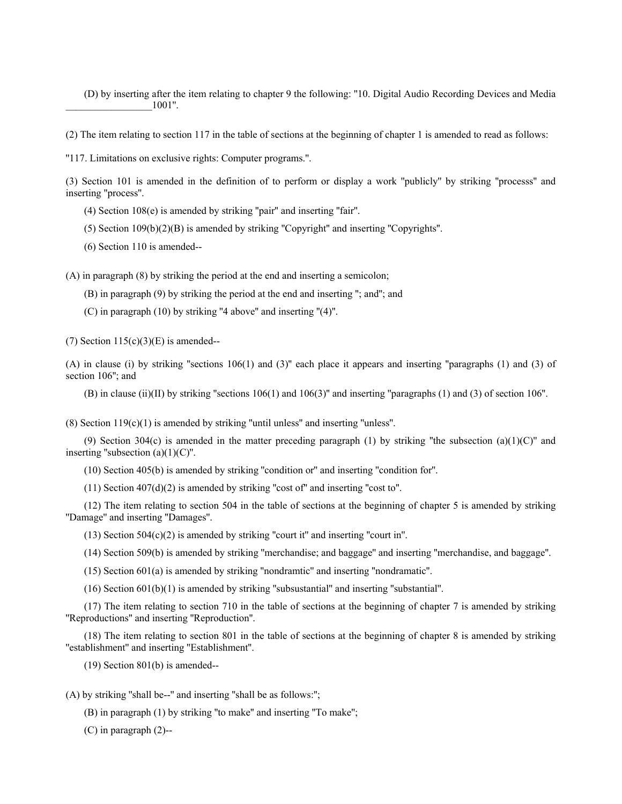(D) by inserting after the item relating to chapter 9 the following: ''10. Digital Audio Recording Devices and Media  $1001"$ .

(2) The item relating to section 117 in the table of sections at the beginning of chapter 1 is amended to read as follows:

''117. Limitations on exclusive rights: Computer programs.''.

(3) Section 101 is amended in the definition of to perform or display a work ''publicly'' by striking ''processs'' and inserting ''process''.

(4) Section 108(e) is amended by striking ''pair'' and inserting ''fair''.

(5) Section 109(b)(2)(B) is amended by striking ''Copyright'' and inserting ''Copyrights''.

(6) Section 110 is amended--

(A) in paragraph (8) by striking the period at the end and inserting a semicolon;

(B) in paragraph (9) by striking the period at the end and inserting ''; and''; and

(C) in paragraph (10) by striking ''4 above'' and inserting ''(4)''.

(7) Section  $115(c)(3)(E)$  is amended--

(A) in clause (i) by striking "sections  $106(1)$  and  $(3)$ " each place it appears and inserting "paragraphs (1) and (3) of section 106"; and

(B) in clause (ii)(II) by striking ''sections 106(1) and 106(3)'' and inserting ''paragraphs (1) and (3) of section 106''.

(8) Section 119(c)(1) is amended by striking ''until unless'' and inserting ''unless''.

(9) Section 304(c) is amended in the matter preceding paragraph (1) by striking "the subsection (a)(1)(C)" and inserting "subsection  $(a)(1)(C)$ ".

(10) Section 405(b) is amended by striking ''condition or'' and inserting ''condition for''.

 $(11)$  Section  $407(d)(2)$  is amended by striking "cost of" and inserting "cost to".

(12) The item relating to section 504 in the table of sections at the beginning of chapter 5 is amended by striking ''Damage'' and inserting ''Damages''.

(13) Section 504(c)(2) is amended by striking ''court it'' and inserting ''court in''.

(14) Section 509(b) is amended by striking ''merchandise; and baggage'' and inserting ''merchandise, and baggage''.

(15) Section 601(a) is amended by striking ''nondramtic'' and inserting ''nondramatic''.

(16) Section 601(b)(1) is amended by striking ''subsustantial'' and inserting ''substantial''.

(17) The item relating to section 710 in the table of sections at the beginning of chapter 7 is amended by striking ''Reproductions'' and inserting ''Reproduction''.

(18) The item relating to section 801 in the table of sections at the beginning of chapter 8 is amended by striking ''establishment'' and inserting ''Establishment''.

(19) Section 801(b) is amended--

(A) by striking ''shall be--'' and inserting ''shall be as follows:'';

(B) in paragraph (1) by striking ''to make'' and inserting ''To make'';

(C) in paragraph (2)--